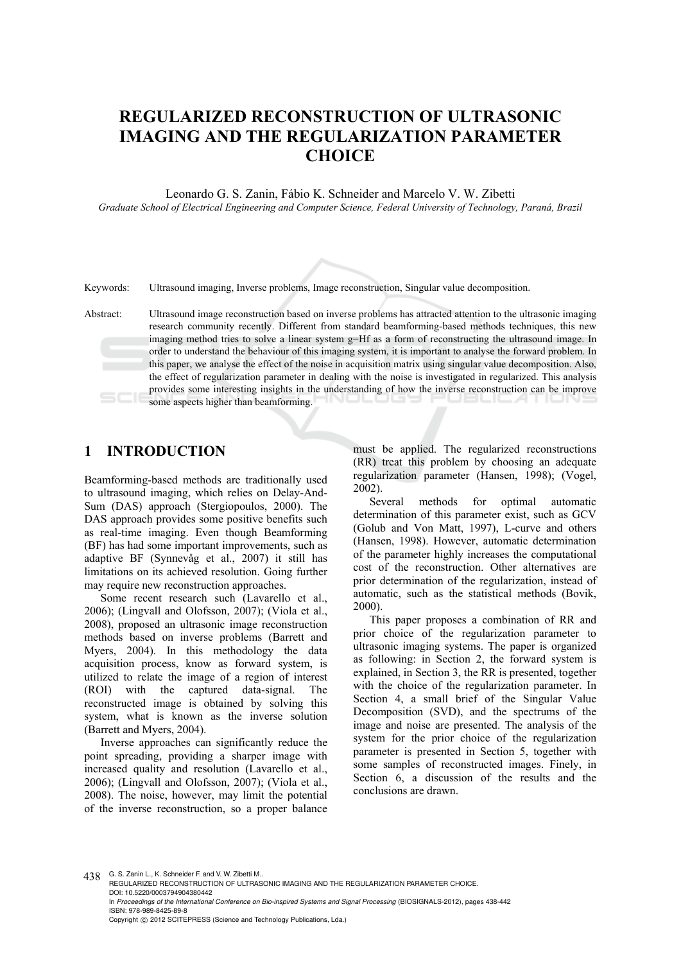# **REGULARIZED RECONSTRUCTION OF ULTRASONIC IMAGING AND THE REGULARIZATION PARAMETER CHOICE**

Leonardo G. S. Zanin, Fábio K. Schneider and Marcelo V. W. Zibetti

*Graduate School of Electrical Engineering and Computer Science, Federal University of Technology, Paraná, Brazil* 

Keywords: Ultrasound imaging, Inverse problems, Image reconstruction, Singular value decomposition.

Abstract: Ultrasound image reconstruction based on inverse problems has attracted attention to the ultrasonic imaging research community recently. Different from standard beamforming-based methods techniques, this new imaging method tries to solve a linear system g=Hf as a form of reconstructing the ultrasound image. In order to understand the behaviour of this imaging system, it is important to analyse the forward problem. In this paper, we analyse the effect of the noise in acquisition matrix using singular value decomposition. Also, the effect of regularization parameter in dealing with the noise is investigated in regularized. This analysis provides some interesting insights in the understanding of how the inverse reconstruction can be improve some aspects higher than beamforming.

### **1 INTRODUCTION**

Beamforming-based methods are traditionally used to ultrasound imaging, which relies on Delay-And-Sum (DAS) approach (Stergiopoulos, 2000). The DAS approach provides some positive benefits such as real-time imaging. Even though Beamforming (BF) has had some important improvements, such as adaptive BF (Synnevåg et al., 2007) it still has limitations on its achieved resolution. Going further may require new reconstruction approaches.

Some recent research such (Lavarello et al., 2006); (Lingvall and Olofsson, 2007); (Viola et al., 2008), proposed an ultrasonic image reconstruction methods based on inverse problems (Barrett and Myers, 2004). In this methodology the data acquisition process, know as forward system, is utilized to relate the image of a region of interest (ROI) with the captured data-signal. The reconstructed image is obtained by solving this system, what is known as the inverse solution (Barrett and Myers, 2004).

Inverse approaches can significantly reduce the point spreading, providing a sharper image with increased quality and resolution (Lavarello et al., 2006); (Lingvall and Olofsson, 2007); (Viola et al., 2008). The noise, however, may limit the potential of the inverse reconstruction, so a proper balance

must be applied. The regularized reconstructions (RR) treat this problem by choosing an adequate regularization parameter (Hansen, 1998); (Vogel, 2002).

Several methods for optimal automatic determination of this parameter exist, such as GCV (Golub and Von Matt, 1997), L-curve and others (Hansen, 1998). However, automatic determination of the parameter highly increases the computational cost of the reconstruction. Other alternatives are prior determination of the regularization, instead of automatic, such as the statistical methods (Bovik, 2000).

This paper proposes a combination of RR and prior choice of the regularization parameter to ultrasonic imaging systems. The paper is organized as following: in Section 2, the forward system is explained, in Section 3, the RR is presented, together with the choice of the regularization parameter. In Section 4, a small brief of the Singular Value Decomposition (SVD), and the spectrums of the image and noise are presented. The analysis of the system for the prior choice of the regularization parameter is presented in Section 5, together with some samples of reconstructed images. Finely, in Section 6, a discussion of the results and the conclusions are drawn.

438 G. S. Zanin L., K. Schneider F. and V. W. Zibetti M..

REGULARIZED RECONSTRUCTION OF ULTRASONIC IMAGING AND THE REGULARIZATION PARAMETER CHOICE. DOI: 10.5220/0003794904380442 In *Proceedings of the International Conference on Bio-inspired Systems and Signal Processing* (BIOSIGNALS-2012), pages 438-442 ISBN: 978-989-8425-89-8 Copyright © 2012 SCITEPRESS (Science and Technology Publications, Lda.)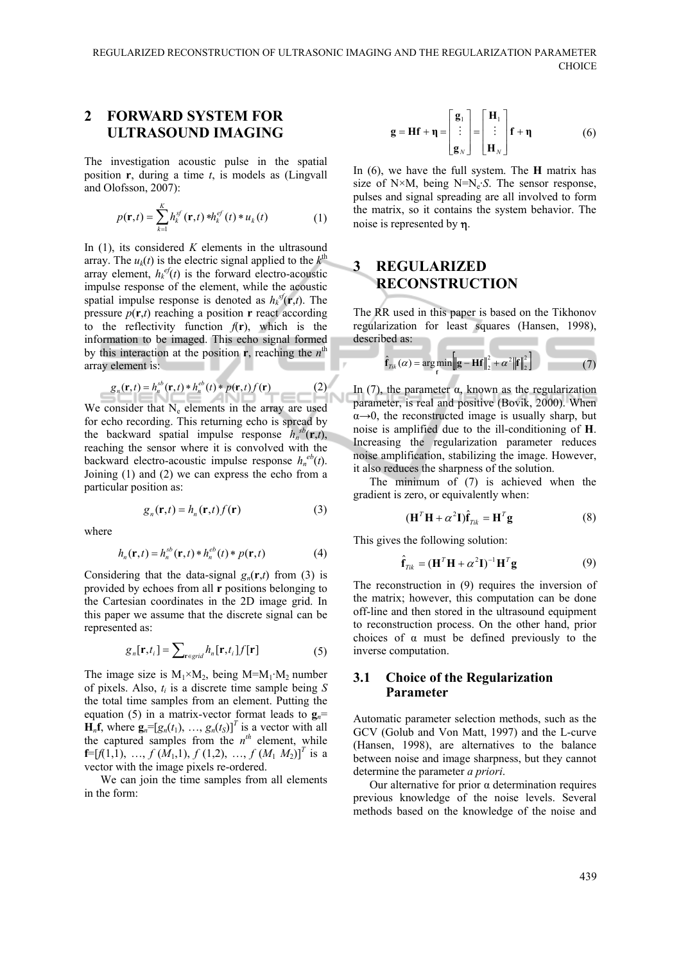### **2 FORWARD SYSTEM FOR ULTRASOUND IMAGING**

The investigation acoustic pulse in the spatial position **r**, during a time *t*, is models as (Lingvall and Olofsson, 2007):

$$
p(\mathbf{r},t) = \sum_{k=1}^{K} h_k^{sf}(\mathbf{r},t) * h_k^{sf}(t) * u_k(t)
$$
 (1)

In (1), its considered *K* elements in the ultrasound array. The  $u_k(t)$  is the electric signal applied to the  $k^{\text{th}}$ array element,  $h_k^{ef}(t)$  is the forward electro-acoustic impulse response of the element, while the acoustic spatial impulse response is denoted as  $h_k^{sf}(\mathbf{r},t)$ . The pressure  $p(\mathbf{r},t)$  reaching a position **r** react according to the reflectivity function  $f(\mathbf{r})$ , which is the information to be imaged. This echo signal formed by this interaction at the position **r**, reaching the *n*<sup>th</sup> array element is:

$$
g_n(\mathbf{r},t) = h_n^{sb}(\mathbf{r},t) * h_n^{eb}(t) * p(\mathbf{r},t) f(\mathbf{r})
$$
 (2)

We consider that  $N_e$  elements in the array are used for echo recording. This returning echo is spread by the backward spatial impulse response  $h_n^{sb}(\mathbf{r},t)$ , reaching the sensor where it is convolved with the backward electro-acoustic impulse response  $h_n^{eb}(t)$ . Joining (1) and (2) we can express the echo from a particular position as:

$$
g_n(\mathbf{r},t) = h_n(\mathbf{r},t) f(\mathbf{r})
$$
\n(3)

where

$$
h_n(\mathbf{r},t) = h_n^{sb}(\mathbf{r},t) * h_n^{eb}(t) * p(\mathbf{r},t)
$$
 (4)

Considering that the data-signal  $g_n(\mathbf{r},t)$  from (3) is provided by echoes from all **r** positions belonging to the Cartesian coordinates in the 2D image grid. In this paper we assume that the discrete signal can be represented as:

$$
g_n[\mathbf{r}, t_i] = \sum_{\mathbf{r} \in \text{grid}} h_n[\mathbf{r}, t_i] f[\mathbf{r}] \tag{5}
$$

The image size is  $M_1 \times M_2$ , being  $M=M_1 \times M_2$  number of pixels. Also, *ti* is a discrete time sample being *S* the total time samples from an element. Putting the equation (5) in a matrix-vector format leads to  $\mathbf{g}_n =$  $\mathbf{H}_n\mathbf{f}$ , where  $\mathbf{g}_n = [g_n(t_1), \dots, g_n(t_s)]^T$  is a vector with all the captured samples from the  $n^{th}$  element, while **f**=[ $f(1,1)$ , …,  $f(M_1,1)$ ,  $f(1,2)$ , …,  $f(M_1, M_2)$ ]<sup>T</sup> is a vector with the image pixels re-ordered.

We can join the time samples from all elements in the form:

$$
\mathbf{g} = \mathbf{H}\mathbf{f} + \mathbf{\eta} = \begin{bmatrix} \mathbf{g}_1 \\ \vdots \\ \mathbf{g}_N \end{bmatrix} = \begin{bmatrix} \mathbf{H}_1 \\ \vdots \\ \mathbf{H}_N \end{bmatrix} \mathbf{f} + \mathbf{\eta}
$$
 (6)

In (6), we have the full system. The **H** matrix has size of  $N \times M$ , being  $N=N_e \cdot S$ . The sensor response, pulses and signal spreading are all involved to form the matrix, so it contains the system behavior. The noise is represented by  $\eta$ .

## **3 REGULARIZED RECONSTRUCTION**

The RR used in this paper is based on the Tikhonov regularization for least squares (Hansen, 1998), described as: 

$$
\hat{\mathbf{f}}_{Tik}(\alpha) = \underset{\mathbf{f}}{\arg\min} \Big[ \|\mathbf{g} - \mathbf{H}\mathbf{f}\|_{2}^{2} + \alpha^{2} \|\mathbf{f}\|_{2}^{2} \Big] \tag{7}
$$

In (7), the parameter α, known as the regularization parameter, is real and positive (Bovik, 2000). When  $\alpha \rightarrow 0$ , the reconstructed image is usually sharp, but noise is amplified due to the ill-conditioning of **H**. Increasing the regularization parameter reduces noise amplification, stabilizing the image. However, it also reduces the sharpness of the solution.

The minimum of (7) is achieved when the gradient is zero, or equivalently when:

$$
(\mathbf{H}^T \mathbf{H} + \alpha^2 \mathbf{I}) \hat{\mathbf{f}}_{Tik} = \mathbf{H}^T \mathbf{g}
$$
 (8)

This gives the following solution:

$$
\hat{\mathbf{f}}_{Tik} = (\mathbf{H}^T \mathbf{H} + \alpha^2 \mathbf{I})^{-1} \mathbf{H}^T \mathbf{g}
$$
 (9)

The reconstruction in (9) requires the inversion of the matrix; however, this computation can be done off-line and then stored in the ultrasound equipment to reconstruction process. On the other hand, prior choices of  $\alpha$  must be defined previously to the inverse computation.

#### **3.1 Choice of the Regularization Parameter**

Automatic parameter selection methods, such as the GCV (Golub and Von Matt, 1997) and the L-curve (Hansen, 1998), are alternatives to the balance between noise and image sharpness, but they cannot determine the parameter *a priori*.

Our alternative for prior α determination requires previous knowledge of the noise levels. Several methods based on the knowledge of the noise and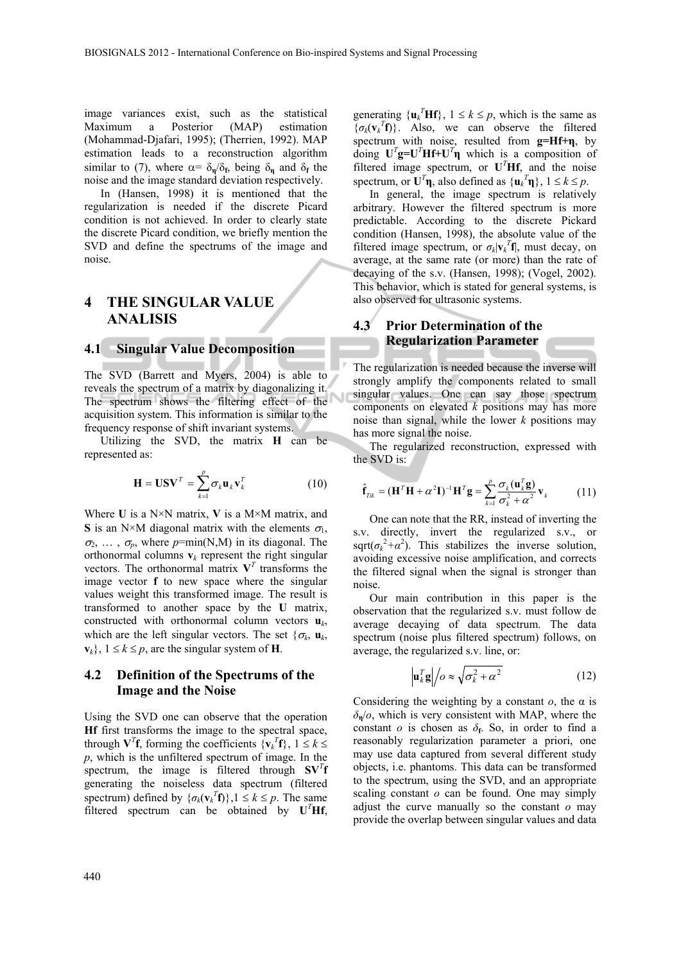image variances exist, such as the statistical Maximum a Posterior (MAP) estimation (Mohammad-Djafari, 1995); (Therrien, 1992). MAP estimation leads to a reconstruction algorithm similar to (7), where  $\alpha = \delta_{\bf n}/\delta_{\bf f}$ , being  $\delta_{\bf n}$  and  $\delta_{\bf f}$  the noise and the image standard deviation respectively.

In (Hansen, 1998) it is mentioned that the regularization is needed if the discrete Picard condition is not achieved. In order to clearly state the discrete Picard condition, we briefly mention the SVD and define the spectrums of the image and noise.

# **4 THE SINGULAR VALUE ANALISIS**

# **4.1 Singular Value Decomposition**

The SVD (Barrett and Myers, 2004) is able to reveals the spectrum of a matrix by diagonalizing it. The spectrum shows the filtering effect of the acquisition system. This information is similar to the frequency response of shift invariant systems.

Utilizing the SVD, the matrix **H** can be represented as:

$$
\mathbf{H} = \mathbf{U}\mathbf{S}\mathbf{V}^T = \sum_{k=1}^p \sigma_k \mathbf{u}_k \mathbf{v}_k^T
$$
 (10)

Where **U** is a N×N matrix, **V** is a M×M matrix, and **S** is an N×M diagonal matrix with the elements  $\sigma_1$ ,  $\sigma_2, \ldots, \sigma_p$ , where  $p = min(N,M)$  in its diagonal. The orthonormal columns  $v_k$  represent the right singular vectors. The orthonormal matrix  $V<sup>T</sup>$  transforms the image vector **f** to new space where the singular values weight this transformed image. The result is transformed to another space by the **U** matrix, constructed with orthonormal column vectors  $\mathbf{u}_k$ , which are the left singular vectors. The set  $\{\sigma_k, \mathbf{u}_k\}$  $\mathbf{v}_k$ ,  $1 \leq k \leq p$ , are the singular system of **H**.

#### **4.2 Definition of the Spectrums of the Image and the Noise**

Using the SVD one can observe that the operation **Hf** first transforms the image to the spectral space, through  $V^T f$ , forming the coefficients  $\{v_k^T f\}$ ,  $1 \le k \le$ *p*, which is the unfiltered spectrum of image. In the spectrum, the image is filtered through  $\mathbf{S}\mathbf{V}^T\mathbf{f}$ generating the noiseless data spectrum (filtered spectrum) defined by  $\{\sigma_k(\mathbf{v}_k^T \mathbf{f})\}\,$ ,  $1 \leq k \leq p$ . The same filtered spectrum can be obtained by  $U<sup>T</sup>Hf$ ,

generating  $\{\mathbf{u}_k^T \mathbf{H} \mathbf{f}\}\,$ ,  $1 \le k \le p$ , which is the same as  $\{\sigma_k(\mathbf{v}_k^T\mathbf{f})\}$ . Also, we can observe the filtered spectrum with noise, resulted from **g=Hf+η**, by doing  $U^T g = U^T H f + U^T \eta$  which is a composition of filtered image spectrum, or  $U<sup>T</sup>Hf$ , and the noise spectrum, or  $U^T \eta$ , also defined as  $\{u_k^T \eta\}$ ,  $1 \le k \le p$ .

In general, the image spectrum is relatively arbitrary. However the filtered spectrum is more predictable. According to the discrete Pickard condition (Hansen, 1998), the absolute value of the filtered image spectrum, or  $\sigma_k |\mathbf{v}_k|^T \mathbf{f}$ , must decay, on average, at the same rate (or more) than the rate of decaying of the s.v. (Hansen, 1998); (Vogel, 2002). This behavior, which is stated for general systems, is also observed for ultrasonic systems.

### **4.3 Prior Determination of the Regularization Parameter**

The regularization is needed because the inverse will strongly amplify the components related to small singular values. One can say those spectrum components on elevated *k* positions may has more noise than signal, while the lower *k* positions may has more signal the noise.

The regularized reconstruction, expressed with the SVD is:

$$
\hat{\mathbf{f}}_{Tik} = (\mathbf{H}^T \mathbf{H} + \alpha^2 \mathbf{I})^{-1} \mathbf{H}^T \mathbf{g} = \sum_{k=1}^p \frac{\sigma_k(\mathbf{u}_k^T \mathbf{g})}{\sigma_k^2 + \alpha^2} \mathbf{v}_k
$$
(11)

One can note that the RR, instead of inverting the s.v. directly, invert the regularized s.v., or sqrt( $\sigma_k^2 + \alpha^2$ ). This stabilizes the inverse solution, avoiding excessive noise amplification, and corrects the filtered signal when the signal is stronger than noise.

Our main contribution in this paper is the observation that the regularized s.v. must follow de average decaying of data spectrum. The data spectrum (noise plus filtered spectrum) follows, on average, the regularized s.v. line, or:

$$
\mathbf{u}_k^T \mathbf{g} \Big| / o \approx \sqrt{\sigma_k^2 + \alpha^2} \tag{12}
$$

Considering the weighting by a constant *o*, the α is  $\delta_{\bf n}/\rho$ , which is very consistent with MAP, where the constant *o* is chosen as  $\delta$ <sub>f</sub>. So, in order to find a reasonably regularization parameter a priori, one may use data captured from several different study objects, i.e. phantoms. This data can be transformed to the spectrum, using the SVD, and an appropriate scaling constant *o* can be found. One may simply adjust the curve manually so the constant *o* may provide the overlap between singular values and data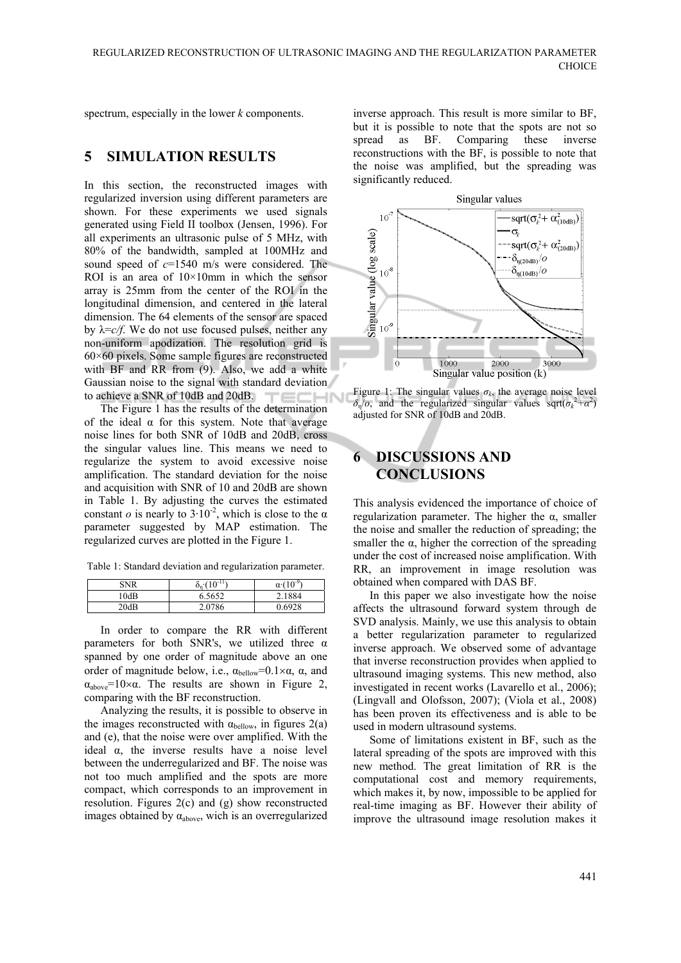spectrum, especially in the lower *k* components.

### **5 SIMULATION RESULTS**

In this section, the reconstructed images with regularized inversion using different parameters are shown. For these experiments we used signals generated using Field II toolbox (Jensen, 1996). For all experiments an ultrasonic pulse of 5 MHz, with 80% of the bandwidth, sampled at 100MHz and sound speed of *c*=1540 m/s were considered. The ROI is an area of  $10\times10$ mm in which the sensor array is 25mm from the center of the ROI in the longitudinal dimension, and centered in the lateral dimension. The 64 elements of the sensor are spaced by  $\lambda = c/f$ . We do not use focused pulses, neither any non-uniform apodization. The resolution grid is 60×60 pixels. Some sample figures are reconstructed with BF and RR from (9). Also, we add a white Gaussian noise to the signal with standard deviation to achieve a SNR of 10dB and 20dB. TEC **CHN** 

The Figure 1 has the results of the determination of the ideal  $\alpha$  for this system. Note that average noise lines for both SNR of 10dB and 20dB, cross the singular values line. This means we need to regularize the system to avoid excessive noise amplification. The standard deviation for the noise and acquisition with SNR of 10 and 20dB are shown in Table 1. By adjusting the curves the estimated constant *o* is nearly to  $3.10^{-2}$ , which is close to the  $\alpha$ parameter suggested by MAP estimation. The regularized curves are plotted in the Figure 1.

Table 1: Standard deviation and regularization parameter.

| SNR  | $o_n \cdot (10^{-11})$ | $\alpha(10^{-9})$ |
|------|------------------------|-------------------|
| !0dB | 6.5652                 | 2.1884            |
| 20dB | 2.0786                 | 0.6928            |

In order to compare the RR with different parameters for both SNR's, we utilized three  $\alpha$ spanned by one order of magnitude above an one order of magnitude below, i.e.,  $\alpha_{\text{below}} = 0.1 \times \alpha$ ,  $\alpha$ , and  $\alpha_{\text{above}}=10\times\alpha$ . The results are shown in Figure 2, comparing with the BF reconstruction.

Analyzing the results, it is possible to observe in the images reconstructed with  $\alpha_{\text{below}}$ , in figures 2(a) and (e), that the noise were over amplified. With the ideal  $\alpha$ , the inverse results have a noise level between the underregularized and BF. The noise was not too much amplified and the spots are more compact, which corresponds to an improvement in resolution. Figures 2(c) and (g) show reconstructed images obtained by  $\alpha_{\text{above}}$ , wich is an overregularized

inverse approach. This result is more similar to BF, but it is possible to note that the spots are not so spread as BF. Comparing these inverse reconstructions with the BF, is possible to note that the noise was amplified, but the spreading was significantly reduced.



Figure 1: The singular values  $\sigma_k$ , the average noise level  $\delta_{\eta}/\sigma$ , and the regularized singular values sqrt( $\sigma_k^2 + \alpha^2$ ) adjusted for SNR of 10dB and 20dB.

# **6 DISCUSSIONS AND CONCLUSIONS**

This analysis evidenced the importance of choice of regularization parameter. The higher the α, smaller the noise and smaller the reduction of spreading; the smaller the  $\alpha$ , higher the correction of the spreading under the cost of increased noise amplification. With RR, an improvement in image resolution was obtained when compared with DAS BF.

In this paper we also investigate how the noise affects the ultrasound forward system through de SVD analysis. Mainly, we use this analysis to obtain a better regularization parameter to regularized inverse approach. We observed some of advantage that inverse reconstruction provides when applied to ultrasound imaging systems. This new method, also investigated in recent works (Lavarello et al., 2006); (Lingvall and Olofsson, 2007); (Viola et al., 2008) has been proven its effectiveness and is able to be used in modern ultrasound systems.

Some of limitations existent in BF, such as the lateral spreading of the spots are improved with this new method. The great limitation of RR is the computational cost and memory requirements, which makes it, by now, impossible to be applied for real-time imaging as BF. However their ability of improve the ultrasound image resolution makes it